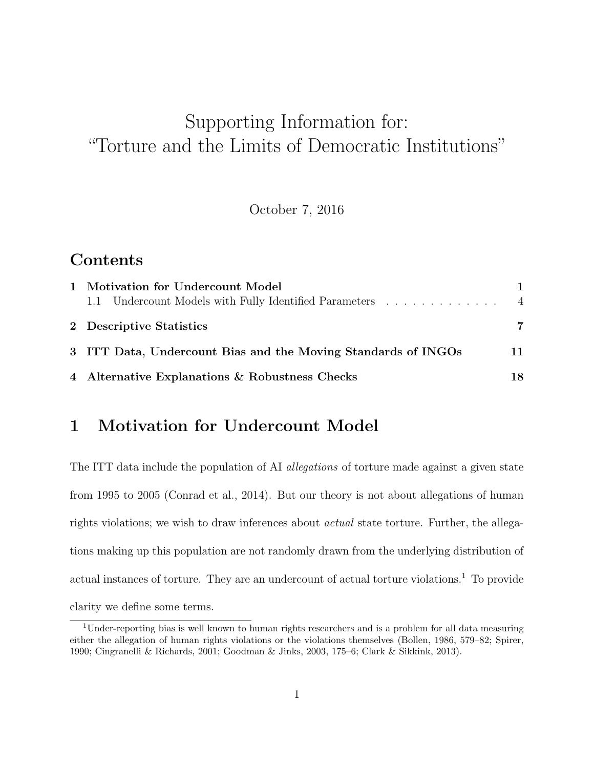## Supporting Information for: "Torture and the Limits of Democratic Institutions"

October 7, 2016

## Contents

| 1 Motivation for Undercount Model<br>1.1 Undercount Models with Fully Identified Parameters | $\overline{4}$ |
|---------------------------------------------------------------------------------------------|----------------|
| 2 Descriptive Statistics                                                                    | 7              |
| 3 ITT Data, Undercount Bias and the Moving Standards of INGOs                               | 11             |
| 4 Alternative Explanations & Robustness Checks                                              | 18             |

## 1 Motivation for Undercount Model

The ITT data include the population of AI allegations of torture made against a given state from 1995 to 2005 (Conrad et al., 2014). But our theory is not about allegations of human rights violations; we wish to draw inferences about actual state torture. Further, the allegations making up this population are not randomly drawn from the underlying distribution of actual instances of torture. They are an undercount of actual torture violations.<sup>1</sup> To provide clarity we define some terms.

<sup>1</sup>Under-reporting bias is well known to human rights researchers and is a problem for all data measuring either the allegation of human rights violations or the violations themselves (Bollen, 1986, 579–82; Spirer, 1990; Cingranelli & Richards, 2001; Goodman & Jinks, 2003, 175–6; Clark & Sikkink, 2013).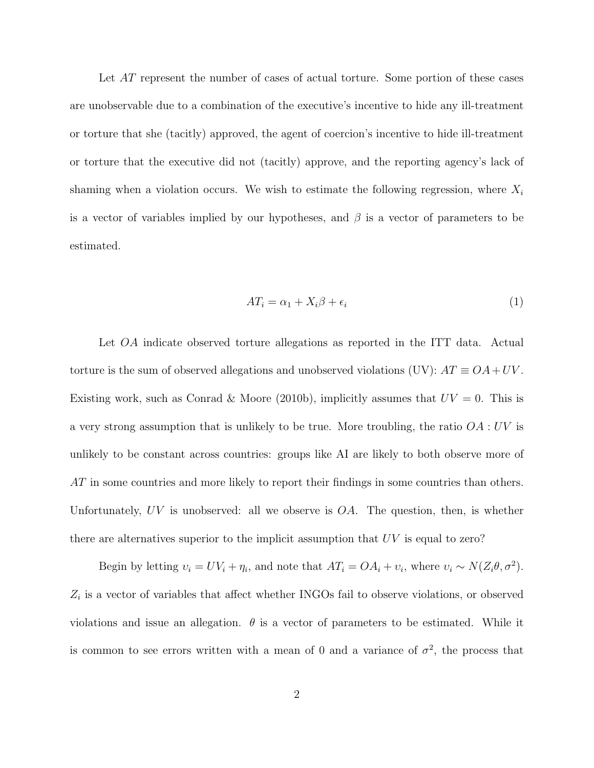Let AT represent the number of cases of actual torture. Some portion of these cases are unobservable due to a combination of the executive's incentive to hide any ill-treatment or torture that she (tacitly) approved, the agent of coercion's incentive to hide ill-treatment or torture that the executive did not (tacitly) approve, and the reporting agency's lack of shaming when a violation occurs. We wish to estimate the following regression, where  $X_i$ is a vector of variables implied by our hypotheses, and  $\beta$  is a vector of parameters to be estimated.

$$
AT_i = \alpha_1 + X_i \beta + \epsilon_i \tag{1}
$$

Let *OA* indicate observed torture allegations as reported in the ITT data. Actual torture is the sum of observed allegations and unobserved violations (UV):  $AT \equiv OA + UV$ . Existing work, such as Conrad & Moore (2010b), implicitly assumes that  $UV = 0$ . This is a very strong assumption that is unlikely to be true. More troubling, the ratio OA : UV is unlikely to be constant across countries: groups like AI are likely to both observe more of AT in some countries and more likely to report their findings in some countries than others. Unfortunately,  $UV$  is unobserved: all we observe is  $OA$ . The question, then, is whether there are alternatives superior to the implicit assumption that UV is equal to zero?

Begin by letting  $v_i = UV_i + \eta_i$ , and note that  $AT_i = OA_i + v_i$ , where  $v_i \sim N(Z_i \theta, \sigma^2)$ .  $Z_i$  is a vector of variables that affect whether INGOs fail to observe violations, or observed violations and issue an allegation.  $\theta$  is a vector of parameters to be estimated. While it is common to see errors written with a mean of 0 and a variance of  $\sigma^2$ , the process that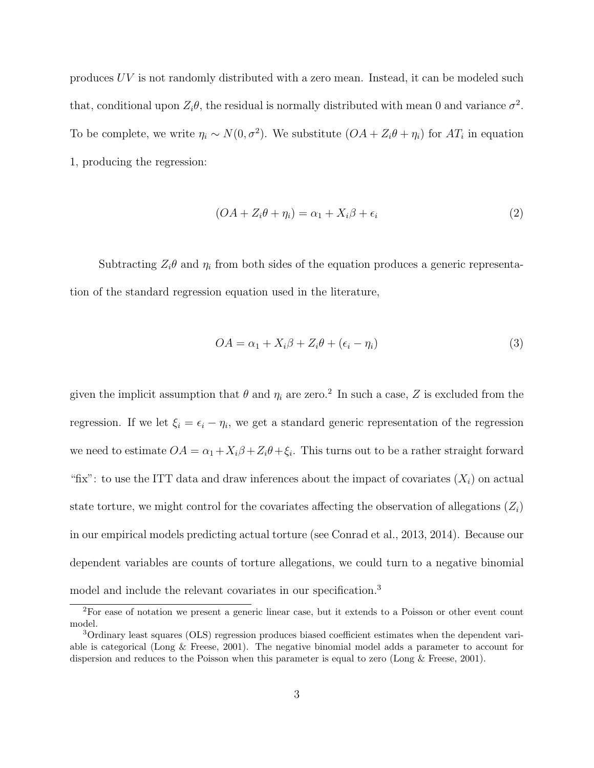produces UV is not randomly distributed with a zero mean. Instead, it can be modeled such that, conditional upon  $Z_i\theta$ , the residual is normally distributed with mean 0 and variance  $\sigma^2$ . To be complete, we write  $\eta_i \sim N(0, \sigma^2)$ . We substitute  $(OA + Z_i \theta + \eta_i)$  for  $AT_i$  in equation 1, producing the regression:

$$
(OA + Z_i \theta + \eta_i) = \alpha_1 + X_i \beta + \epsilon_i \tag{2}
$$

Subtracting  $Z_i\theta$  and  $\eta_i$  from both sides of the equation produces a generic representation of the standard regression equation used in the literature,

$$
OA = \alpha_1 + X_i \beta + Z_i \theta + (\epsilon_i - \eta_i)
$$
\n
$$
(3)
$$

given the implicit assumption that  $\theta$  and  $\eta_i$  are zero.<sup>2</sup> In such a case, Z is excluded from the regression. If we let  $\xi_i = \epsilon_i - \eta_i$ , we get a standard generic representation of the regression we need to estimate  $OA = \alpha_1 + X_i\beta + Z_i\theta + \xi_i$ . This turns out to be a rather straight forward "fix": to use the ITT data and draw inferences about the impact of covariates  $(X_i)$  on actual state torture, we might control for the covariates affecting the observation of allegations  $(Z_i)$ in our empirical models predicting actual torture (see Conrad et al., 2013, 2014). Because our dependent variables are counts of torture allegations, we could turn to a negative binomial model and include the relevant covariates in our specification.<sup>3</sup>

<sup>2</sup>For ease of notation we present a generic linear case, but it extends to a Poisson or other event count model.

<sup>3</sup>Ordinary least squares (OLS) regression produces biased coefficient estimates when the dependent variable is categorical (Long & Freese, 2001). The negative binomial model adds a parameter to account for dispersion and reduces to the Poisson when this parameter is equal to zero (Long & Freese, 2001).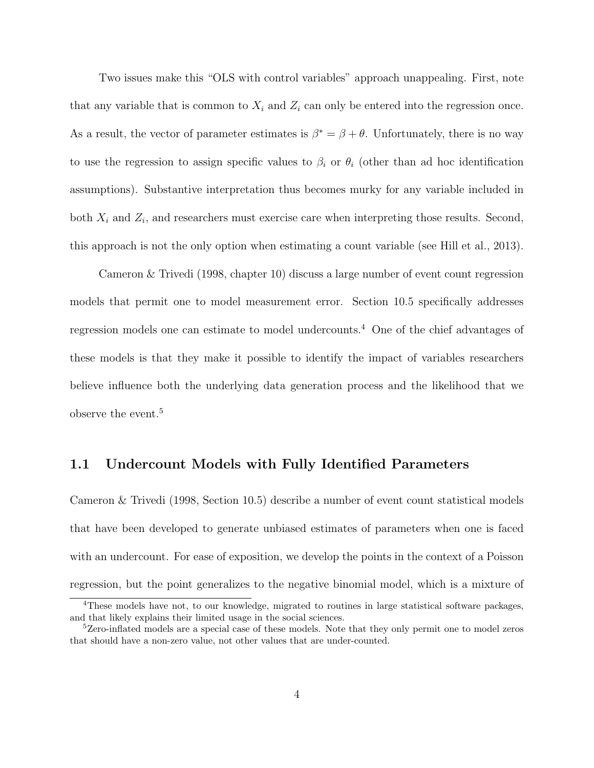Two issues make this "OLS with control variables" approach unappealing. First, note that any variable that is common to  $X_i$  and  $Z_i$  can only be entered into the regression once. As a result, the vector of parameter estimates is  $\beta^* = \beta + \theta$ . Unfortunately, there is no way to use the regression to assign specific values to  $\beta_i$  or  $\theta_i$  (other than ad hoc identification assumptions). Substantive interpretation thus becomes murky for any variable included in both  $X_i$  and  $Z_i$ , and researchers must exercise care when interpreting those results. Second, this approach is not the only option when estimating a count variable (see Hill et al., 2013).

Cameron & Trivedi (1998, chapter 10) discuss a large number of event count regression models that permit one to model measurement error. Section 10.5 specifically addresses regression models one can estimate to model undercounts.<sup>4</sup> One of the chief advantages of these models is that they make it possible to identify the impact of variables researchers believe influence both the underlying data generation process and the likelihood that we observe the event.<sup>5</sup>

#### 1.1 Undercount Models with Fully Identified Parameters

Cameron & Trivedi (1998, Section 10.5) describe a number of event count statistical models that have been developed to generate unbiased estimates of parameters when one is faced with an undercount. For ease of exposition, we develop the points in the context of a Poisson regression, but the point generalizes to the negative binomial model, which is a mixture of

<sup>&</sup>lt;sup>4</sup>These models have not, to our knowledge, migrated to routines in large statistical software packages, and that likely explains their limited usage in the social sciences.

<sup>5</sup>Zero-inflated models are a special case of these models. Note that they only permit one to model zeros that should have a non-zero value, not other values that are under-counted.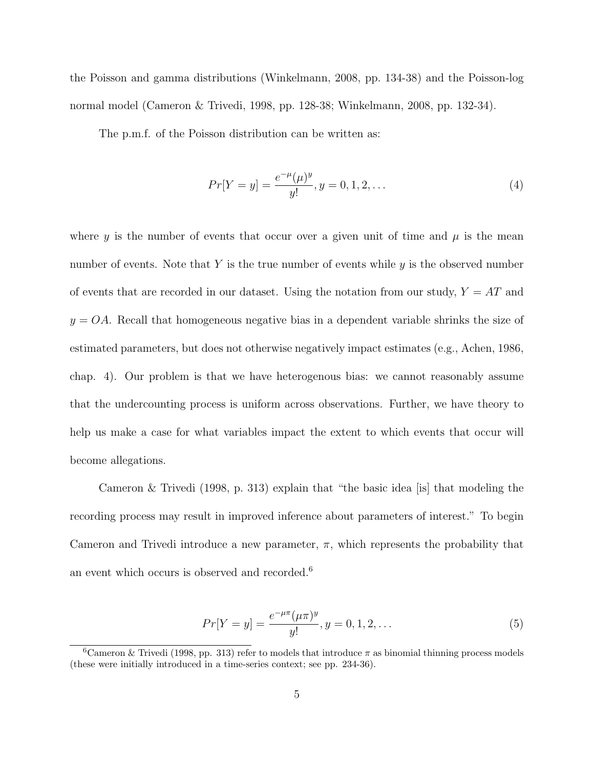the Poisson and gamma distributions (Winkelmann, 2008, pp. 134-38) and the Poisson-log normal model (Cameron & Trivedi, 1998, pp. 128-38; Winkelmann, 2008, pp. 132-34).

The p.m.f. of the Poisson distribution can be written as:

$$
Pr[Y = y] = \frac{e^{-\mu}(\mu)^y}{y!}, y = 0, 1, 2, \dots
$$
\n(4)

where y is the number of events that occur over a given unit of time and  $\mu$  is the mean number of events. Note that Y is the true number of events while  $y$  is the observed number of events that are recorded in our dataset. Using the notation from our study,  $Y = AT$  and  $y = OA$ . Recall that homogeneous negative bias in a dependent variable shrinks the size of estimated parameters, but does not otherwise negatively impact estimates (e.g., Achen, 1986, chap. 4). Our problem is that we have heterogenous bias: we cannot reasonably assume that the undercounting process is uniform across observations. Further, we have theory to help us make a case for what variables impact the extent to which events that occur will become allegations.

Cameron & Trivedi (1998, p. 313) explain that "the basic idea [is] that modeling the recording process may result in improved inference about parameters of interest." To begin Cameron and Trivedi introduce a new parameter,  $\pi$ , which represents the probability that an event which occurs is observed and recorded.<sup>6</sup>

$$
Pr[Y = y] = \frac{e^{-\mu \pi} (\mu \pi)^y}{y!}, y = 0, 1, 2, \dots
$$
\n(5)

<sup>&</sup>lt;sup>6</sup>Cameron & Trivedi (1998, pp. 313) refer to models that introduce  $\pi$  as binomial thinning process models (these were initially introduced in a time-series context; see pp. 234-36).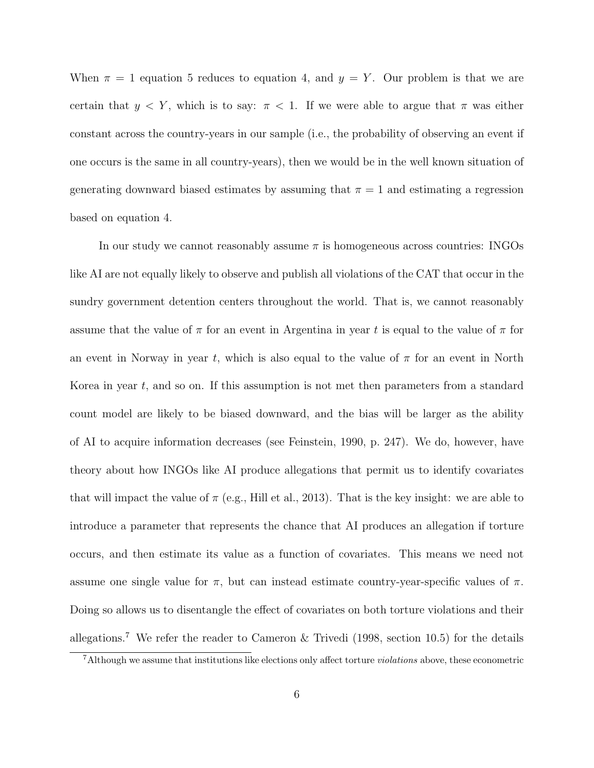When  $\pi = 1$  equation 5 reduces to equation 4, and  $y = Y$ . Our problem is that we are certain that  $y < Y$ , which is to say:  $\pi < 1$ . If we were able to argue that  $\pi$  was either constant across the country-years in our sample (i.e., the probability of observing an event if one occurs is the same in all country-years), then we would be in the well known situation of generating downward biased estimates by assuming that  $\pi = 1$  and estimating a regression based on equation 4.

In our study we cannot reasonably assume  $\pi$  is homogeneous across countries: INGOs like AI are not equally likely to observe and publish all violations of the CAT that occur in the sundry government detention centers throughout the world. That is, we cannot reasonably assume that the value of  $\pi$  for an event in Argentina in year t is equal to the value of  $\pi$  for an event in Norway in year t, which is also equal to the value of  $\pi$  for an event in North Korea in year  $t$ , and so on. If this assumption is not met then parameters from a standard count model are likely to be biased downward, and the bias will be larger as the ability of AI to acquire information decreases (see Feinstein, 1990, p. 247). We do, however, have theory about how INGOs like AI produce allegations that permit us to identify covariates that will impact the value of  $\pi$  (e.g., Hill et al., 2013). That is the key insight: we are able to introduce a parameter that represents the chance that AI produces an allegation if torture occurs, and then estimate its value as a function of covariates. This means we need not assume one single value for  $\pi$ , but can instead estimate country-year-specific values of  $\pi$ . Doing so allows us to disentangle the effect of covariates on both torture violations and their allegations.<sup>7</sup> We refer the reader to Cameron & Trivedi (1998, section 10.5) for the details

 $7$ Although we assume that institutions like elections only affect torture *violations* above, these econometric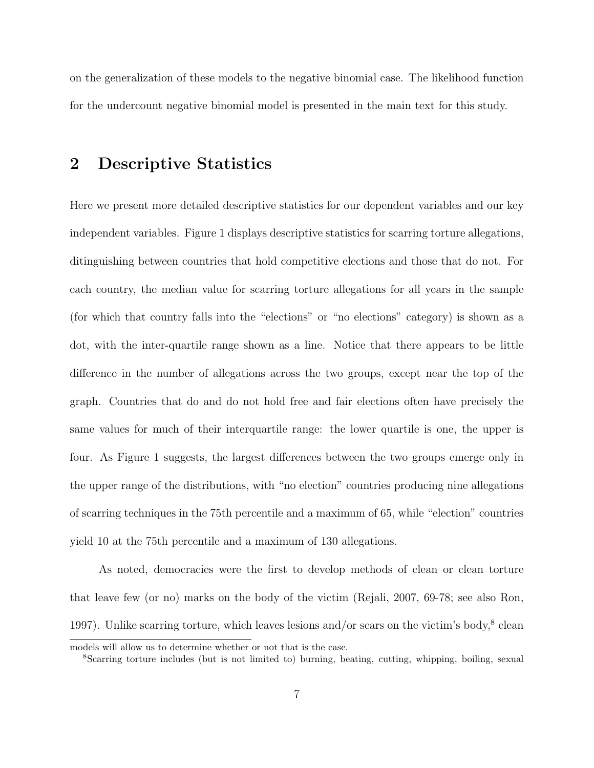on the generalization of these models to the negative binomial case. The likelihood function for the undercount negative binomial model is presented in the main text for this study.

## 2 Descriptive Statistics

Here we present more detailed descriptive statistics for our dependent variables and our key independent variables. Figure 1 displays descriptive statistics for scarring torture allegations, ditinguishing between countries that hold competitive elections and those that do not. For each country, the median value for scarring torture allegations for all years in the sample (for which that country falls into the "elections" or "no elections" category) is shown as a dot, with the inter-quartile range shown as a line. Notice that there appears to be little difference in the number of allegations across the two groups, except near the top of the graph. Countries that do and do not hold free and fair elections often have precisely the same values for much of their interquartile range: the lower quartile is one, the upper is four. As Figure 1 suggests, the largest differences between the two groups emerge only in the upper range of the distributions, with "no election" countries producing nine allegations of scarring techniques in the 75th percentile and a maximum of 65, while "election" countries yield 10 at the 75th percentile and a maximum of 130 allegations.

As noted, democracies were the first to develop methods of clean or clean torture that leave few (or no) marks on the body of the victim (Rejali, 2007, 69-78; see also Ron, 1997). Unlike scarring torture, which leaves lesions and/or scars on the victim's body, $8$  clean

models will allow us to determine whether or not that is the case.

<sup>8</sup>Scarring torture includes (but is not limited to) burning, beating, cutting, whipping, boiling, sexual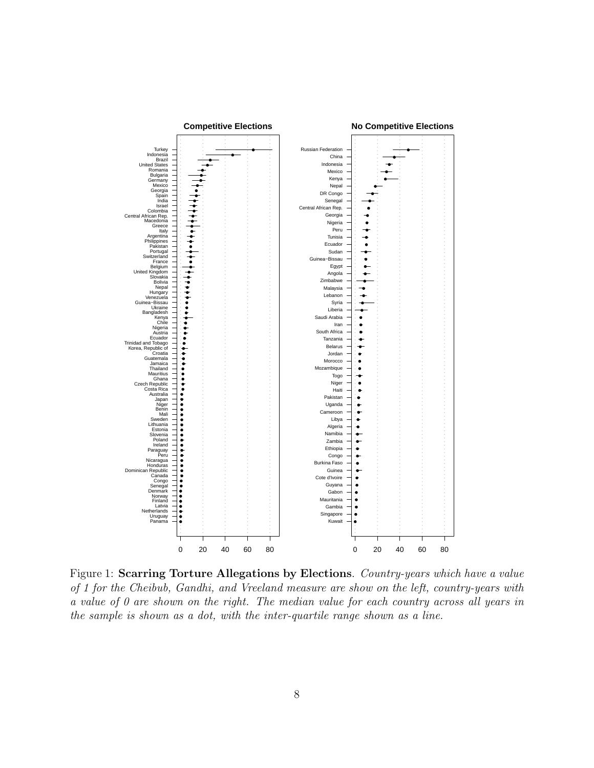

Figure 1: Scarring Torture Allegations by Elections. Country-years which have a value of 1 for the Cheibub, Gandhi, and Vreeland measure are show on the left, country-years with a value of 0 are shown on the right. The median value for each country across all years in the sample is shown as a dot, with the inter-quartile range shown as a line.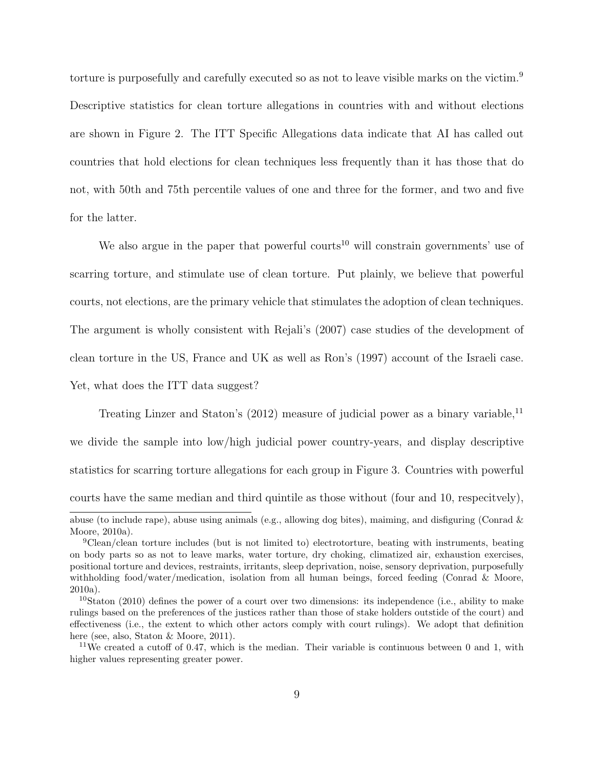torture is purposefully and carefully executed so as not to leave visible marks on the victim.<sup>9</sup> Descriptive statistics for clean torture allegations in countries with and without elections are shown in Figure 2. The ITT Specific Allegations data indicate that AI has called out countries that hold elections for clean techniques less frequently than it has those that do not, with 50th and 75th percentile values of one and three for the former, and two and five for the latter.

We also argue in the paper that powerful courts<sup>10</sup> will constrain governments' use of scarring torture, and stimulate use of clean torture. Put plainly, we believe that powerful courts, not elections, are the primary vehicle that stimulates the adoption of clean techniques. The argument is wholly consistent with Rejali's (2007) case studies of the development of clean torture in the US, France and UK as well as Ron's (1997) account of the Israeli case. Yet, what does the ITT data suggest?

Treating Linzer and Staton's  $(2012)$  measure of judicial power as a binary variable,<sup>11</sup> we divide the sample into low/high judicial power country-years, and display descriptive statistics for scarring torture allegations for each group in Figure 3. Countries with powerful courts have the same median and third quintile as those without (four and 10, respecitvely), abuse (to include rape), abuse using animals (e.g., allowing dog bites), maiming, and disfiguring (Conrad &

Moore, 2010a).

<sup>9</sup>Clean/clean torture includes (but is not limited to) electrotorture, beating with instruments, beating on body parts so as not to leave marks, water torture, dry choking, climatized air, exhaustion exercises, positional torture and devices, restraints, irritants, sleep deprivation, noise, sensory deprivation, purposefully withholding food/water/medication, isolation from all human beings, forced feeding (Conrad & Moore, 2010a).

 $10$ Staton (2010) defines the power of a court over two dimensions: its independence (i.e., ability to make rulings based on the preferences of the justices rather than those of stake holders outstide of the court) and effectiveness (i.e., the extent to which other actors comply with court rulings). We adopt that definition here (see, also, Staton & Moore, 2011).

<sup>&</sup>lt;sup>11</sup>We created a cutoff of 0.47, which is the median. Their variable is continuous between 0 and 1, with higher values representing greater power.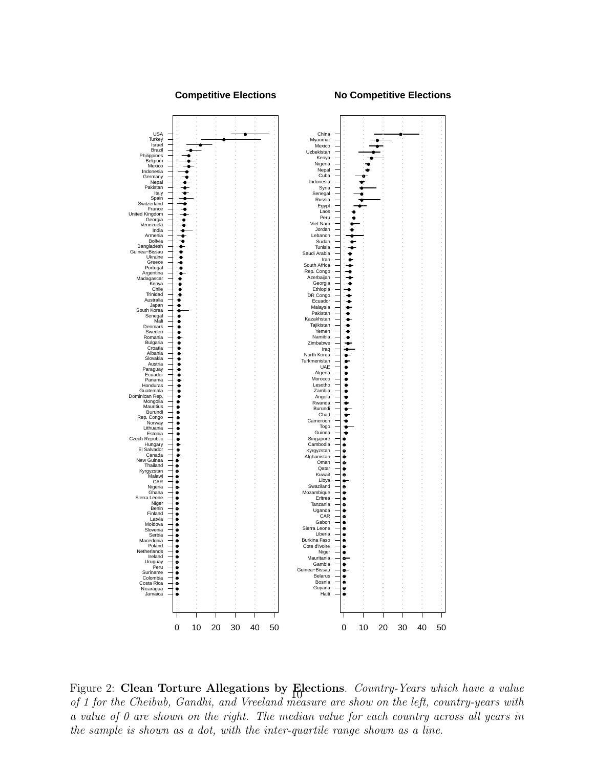#### **Competitive Elections**

**No Competitive Elections**



Figure 2: Clean Torture Allegations by Elections. Country-Years which have a value of 1 for the Cheibub, Gandhi, and Vreeland measure are show on the left, country-years with a value of 0 are shown on the right. The median value for each country across all years in the sample is shown as a dot, with the inter-quartile range shown as a line.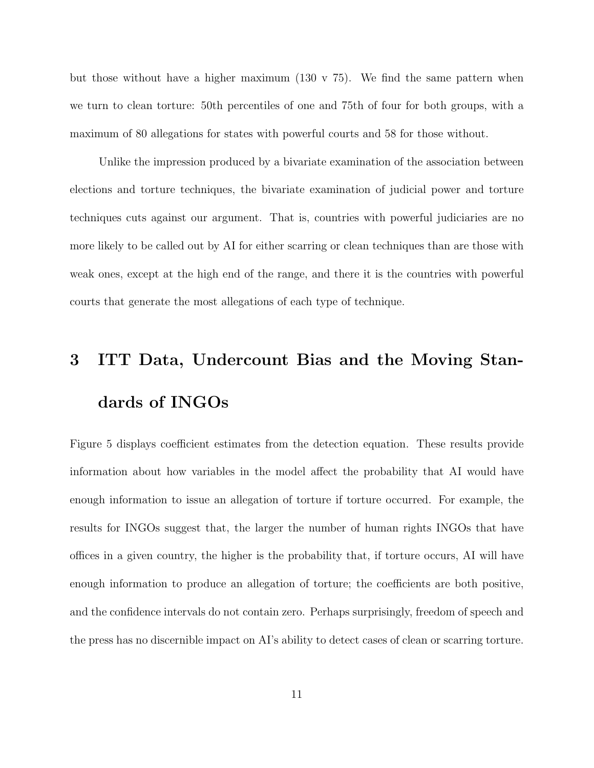but those without have a higher maximum  $(130 \text{ v } 75)$ . We find the same pattern when we turn to clean torture: 50th percentiles of one and 75th of four for both groups, with a maximum of 80 allegations for states with powerful courts and 58 for those without.

Unlike the impression produced by a bivariate examination of the association between elections and torture techniques, the bivariate examination of judicial power and torture techniques cuts against our argument. That is, countries with powerful judiciaries are no more likely to be called out by AI for either scarring or clean techniques than are those with weak ones, except at the high end of the range, and there it is the countries with powerful courts that generate the most allegations of each type of technique.

# 3 ITT Data, Undercount Bias and the Moving Standards of INGOs

Figure 5 displays coefficient estimates from the detection equation. These results provide information about how variables in the model affect the probability that AI would have enough information to issue an allegation of torture if torture occurred. For example, the results for INGOs suggest that, the larger the number of human rights INGOs that have offices in a given country, the higher is the probability that, if torture occurs, AI will have enough information to produce an allegation of torture; the coefficients are both positive, and the confidence intervals do not contain zero. Perhaps surprisingly, freedom of speech and the press has no discernible impact on AI's ability to detect cases of clean or scarring torture.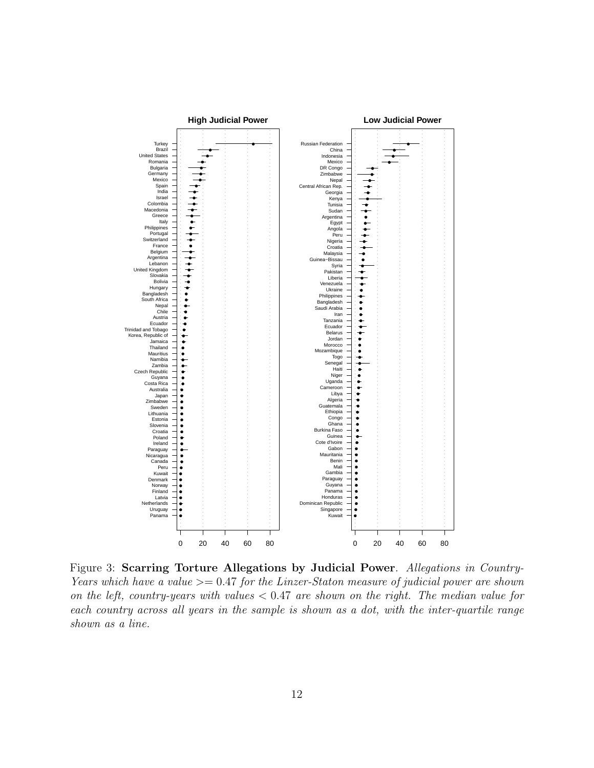

Figure 3: Scarring Torture Allegations by Judicial Power. Allegations in Country-Years which have a value  $\geq$  0.47 for the Linzer-Staton measure of judicial power are shown on the left, country-years with values  $< 0.47$  are shown on the right. The median value for each country across all years in the sample is shown as a dot, with the inter-quartile range shown as a line.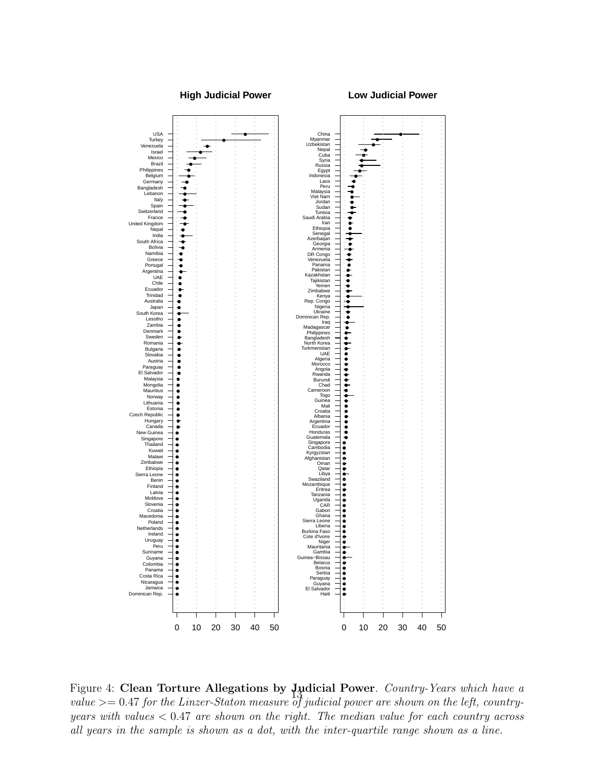#### **High Judicial Power**

**Low Judicial Power**



Figure 4: Clean Torture Allegations by Judicial Power. Country-Years which have a value  $\geq$  0.47 for the Linzer-Staton measure of judicial power are shown on the left, countryyears with values  $\langle 0.47 \rangle$  are shown on the right. The median value for each country across all years in the sample is shown as a dot, with the inter-quartile range shown as a line.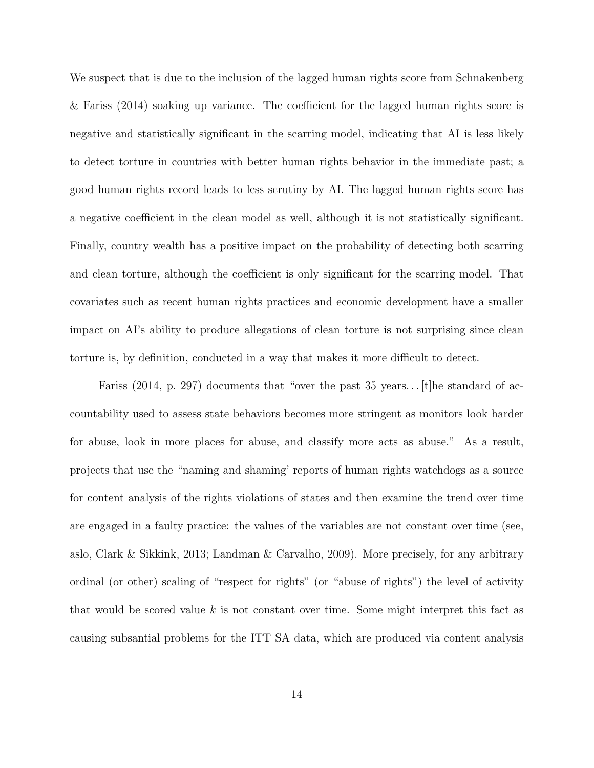We suspect that is due to the inclusion of the lagged human rights score from Schnakenberg & Fariss (2014) soaking up variance. The coefficient for the lagged human rights score is negative and statistically significant in the scarring model, indicating that AI is less likely to detect torture in countries with better human rights behavior in the immediate past; a good human rights record leads to less scrutiny by AI. The lagged human rights score has a negative coefficient in the clean model as well, although it is not statistically significant. Finally, country wealth has a positive impact on the probability of detecting both scarring and clean torture, although the coefficient is only significant for the scarring model. That covariates such as recent human rights practices and economic development have a smaller impact on AI's ability to produce allegations of clean torture is not surprising since clean torture is, by definition, conducted in a way that makes it more difficult to detect.

Fariss (2014, p. 297) documents that "over the past  $35$  years... [t] he standard of accountability used to assess state behaviors becomes more stringent as monitors look harder for abuse, look in more places for abuse, and classify more acts as abuse." As a result, projects that use the "naming and shaming' reports of human rights watchdogs as a source for content analysis of the rights violations of states and then examine the trend over time are engaged in a faulty practice: the values of the variables are not constant over time (see, aslo, Clark & Sikkink, 2013; Landman & Carvalho, 2009). More precisely, for any arbitrary ordinal (or other) scaling of "respect for rights" (or "abuse of rights") the level of activity that would be scored value  $k$  is not constant over time. Some might interpret this fact as causing subsantial problems for the ITT SA data, which are produced via content analysis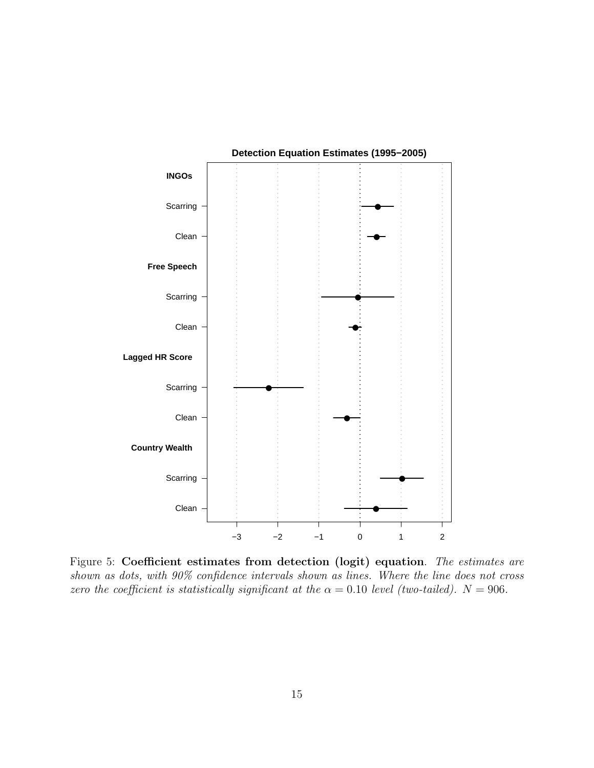

Figure 5: Coefficient estimates from detection (logit) equation. The estimates are shown as dots, with 90% confidence intervals shown as lines. Where the line does not cross zero the coefficient is statistically significant at the  $\alpha = 0.10$  level (two-tailed).  $N = 906$ .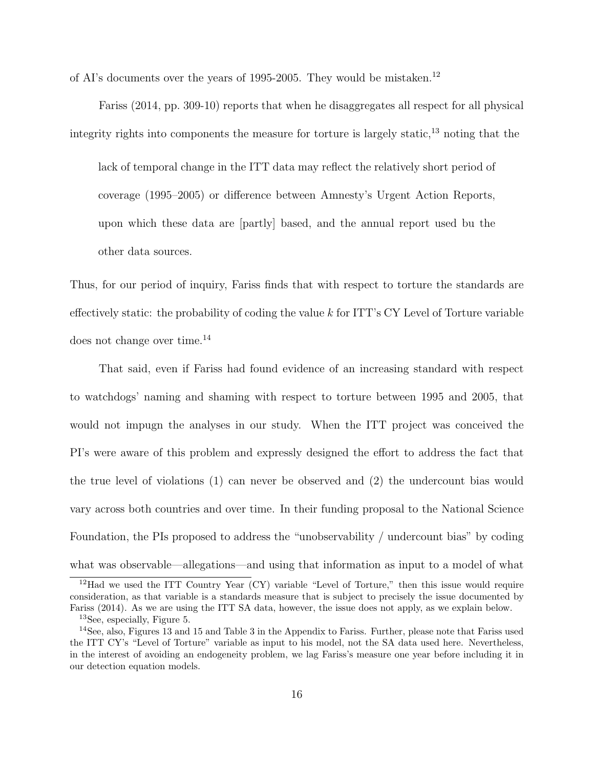of AI's documents over the years of 1995-2005. They would be mistaken.<sup>12</sup>

Fariss (2014, pp. 309-10) reports that when he disaggregates all respect for all physical integrity rights into components the measure for torture is largely static,  $^{13}$  noting that the

lack of temporal change in the ITT data may reflect the relatively short period of coverage (1995–2005) or difference between Amnesty's Urgent Action Reports, upon which these data are [partly] based, and the annual report used bu the other data sources.

Thus, for our period of inquiry, Fariss finds that with respect to torture the standards are effectively static: the probability of coding the value  $k$  for ITT's CY Level of Torture variable does not change over time.<sup>14</sup>

That said, even if Fariss had found evidence of an increasing standard with respect to watchdogs' naming and shaming with respect to torture between 1995 and 2005, that would not impugn the analyses in our study. When the ITT project was conceived the PI's were aware of this problem and expressly designed the effort to address the fact that the true level of violations (1) can never be observed and (2) the undercount bias would vary across both countries and over time. In their funding proposal to the National Science Foundation, the PIs proposed to address the "unobservability / undercount bias" by coding what was observable—allegations—and using that information as input to a model of what

<sup>&</sup>lt;sup>12</sup>Had we used the ITT Country Year (CY) variable "Level of Torture," then this issue would require consideration, as that variable is a standards measure that is subject to precisely the issue documented by Fariss (2014). As we are using the ITT SA data, however, the issue does not apply, as we explain below. <sup>13</sup>See, especially, Figure 5.

<sup>14</sup>See, also, Figures 13 and 15 and Table 3 in the Appendix to Fariss. Further, please note that Fariss used the ITT CY's "Level of Torture" variable as input to his model, not the SA data used here. Nevertheless, in the interest of avoiding an endogeneity problem, we lag Fariss's measure one year before including it in our detection equation models.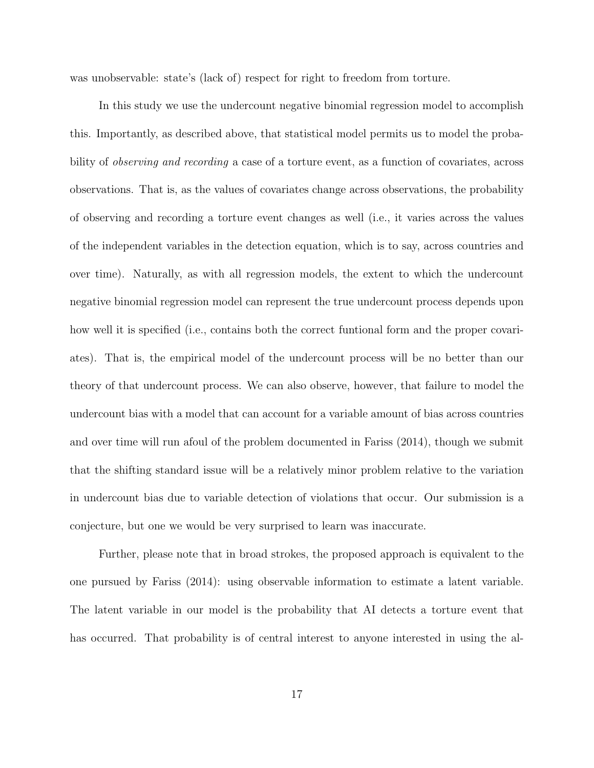was unobservable: state's (lack of) respect for right to freedom from torture.

In this study we use the undercount negative binomial regression model to accomplish this. Importantly, as described above, that statistical model permits us to model the probability of observing and recording a case of a torture event, as a function of covariates, across observations. That is, as the values of covariates change across observations, the probability of observing and recording a torture event changes as well (i.e., it varies across the values of the independent variables in the detection equation, which is to say, across countries and over time). Naturally, as with all regression models, the extent to which the undercount negative binomial regression model can represent the true undercount process depends upon how well it is specified (i.e., contains both the correct funtional form and the proper covariates). That is, the empirical model of the undercount process will be no better than our theory of that undercount process. We can also observe, however, that failure to model the undercount bias with a model that can account for a variable amount of bias across countries and over time will run afoul of the problem documented in Fariss (2014), though we submit that the shifting standard issue will be a relatively minor problem relative to the variation in undercount bias due to variable detection of violations that occur. Our submission is a conjecture, but one we would be very surprised to learn was inaccurate.

Further, please note that in broad strokes, the proposed approach is equivalent to the one pursued by Fariss (2014): using observable information to estimate a latent variable. The latent variable in our model is the probability that AI detects a torture event that has occurred. That probability is of central interest to anyone interested in using the al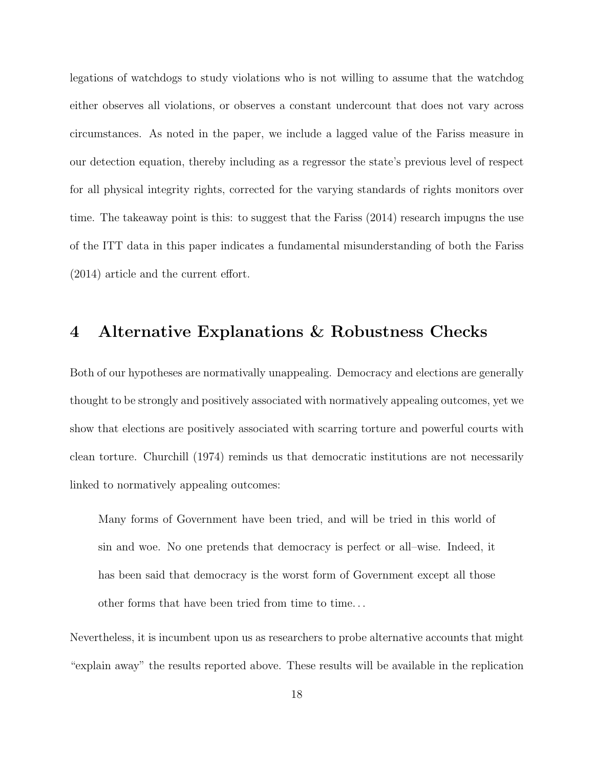legations of watchdogs to study violations who is not willing to assume that the watchdog either observes all violations, or observes a constant undercount that does not vary across circumstances. As noted in the paper, we include a lagged value of the Fariss measure in our detection equation, thereby including as a regressor the state's previous level of respect for all physical integrity rights, corrected for the varying standards of rights monitors over time. The takeaway point is this: to suggest that the Fariss (2014) research impugns the use of the ITT data in this paper indicates a fundamental misunderstanding of both the Fariss (2014) article and the current effort.

### 4 Alternative Explanations & Robustness Checks

Both of our hypotheses are normativally unappealing. Democracy and elections are generally thought to be strongly and positively associated with normatively appealing outcomes, yet we show that elections are positively associated with scarring torture and powerful courts with clean torture. Churchill (1974) reminds us that democratic institutions are not necessarily linked to normatively appealing outcomes:

Many forms of Government have been tried, and will be tried in this world of sin and woe. No one pretends that democracy is perfect or all–wise. Indeed, it has been said that democracy is the worst form of Government except all those other forms that have been tried from time to time. . .

Nevertheless, it is incumbent upon us as researchers to probe alternative accounts that might "explain away" the results reported above. These results will be available in the replication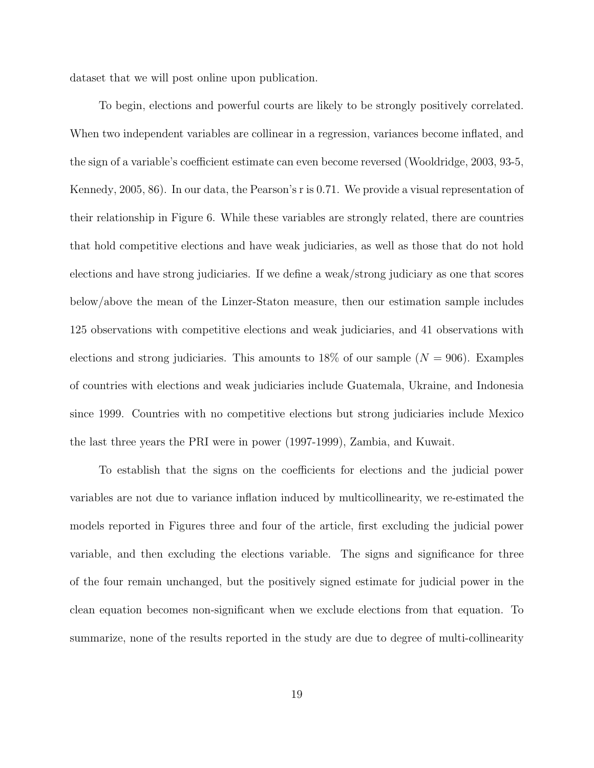dataset that we will post online upon publication.

To begin, elections and powerful courts are likely to be strongly positively correlated. When two independent variables are collinear in a regression, variances become inflated, and the sign of a variable's coefficient estimate can even become reversed (Wooldridge, 2003, 93-5, Kennedy, 2005, 86). In our data, the Pearson's r is 0.71. We provide a visual representation of their relationship in Figure 6. While these variables are strongly related, there are countries that hold competitive elections and have weak judiciaries, as well as those that do not hold elections and have strong judiciaries. If we define a weak/strong judiciary as one that scores below/above the mean of the Linzer-Staton measure, then our estimation sample includes 125 observations with competitive elections and weak judiciaries, and 41 observations with elections and strong judiciaries. This amounts to 18% of our sample  $(N = 906)$ . Examples of countries with elections and weak judiciaries include Guatemala, Ukraine, and Indonesia since 1999. Countries with no competitive elections but strong judiciaries include Mexico the last three years the PRI were in power (1997-1999), Zambia, and Kuwait.

To establish that the signs on the coefficients for elections and the judicial power variables are not due to variance inflation induced by multicollinearity, we re-estimated the models reported in Figures three and four of the article, first excluding the judicial power variable, and then excluding the elections variable. The signs and significance for three of the four remain unchanged, but the positively signed estimate for judicial power in the clean equation becomes non-significant when we exclude elections from that equation. To summarize, none of the results reported in the study are due to degree of multi-collinearity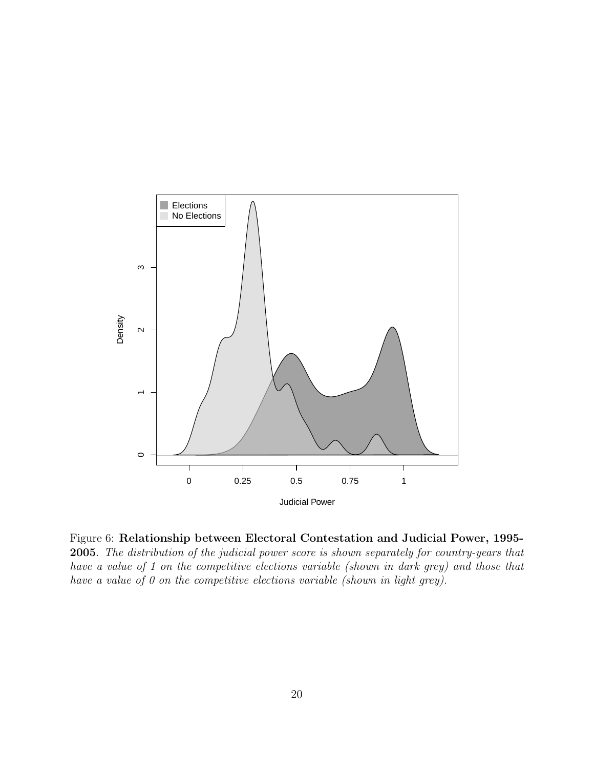

Figure 6: Relationship between Electoral Contestation and Judicial Power, 1995- 2005. The distribution of the judicial power score is shown separately for country-years that have a value of 1 on the competitive elections variable (shown in dark grey) and those that have a value of 0 on the competitive elections variable (shown in light grey).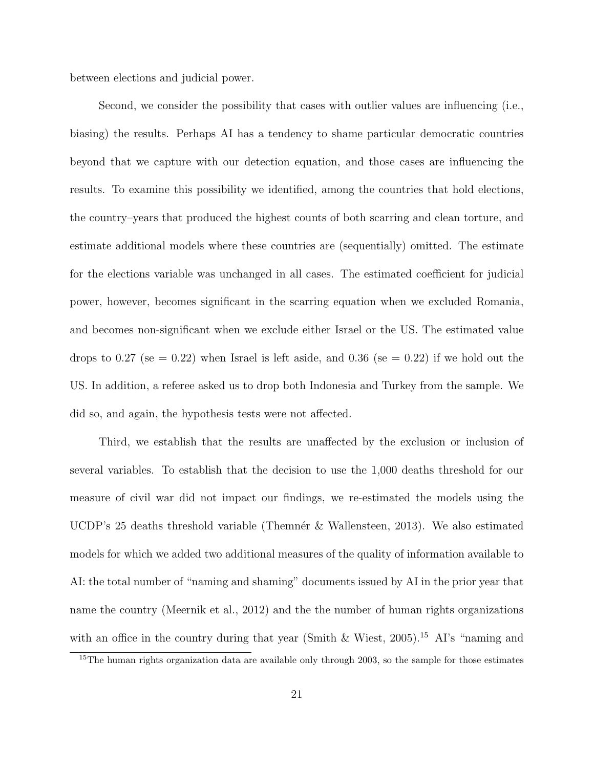between elections and judicial power.

Second, we consider the possibility that cases with outlier values are influencing (i.e., biasing) the results. Perhaps AI has a tendency to shame particular democratic countries beyond that we capture with our detection equation, and those cases are influencing the results. To examine this possibility we identified, among the countries that hold elections, the country–years that produced the highest counts of both scarring and clean torture, and estimate additional models where these countries are (sequentially) omitted. The estimate for the elections variable was unchanged in all cases. The estimated coefficient for judicial power, however, becomes significant in the scarring equation when we excluded Romania, and becomes non-significant when we exclude either Israel or the US. The estimated value drops to 0.27 (se = 0.22) when Israel is left aside, and 0.36 (se = 0.22) if we hold out the US. In addition, a referee asked us to drop both Indonesia and Turkey from the sample. We did so, and again, the hypothesis tests were not affected.

Third, we establish that the results are unaffected by the exclusion or inclusion of several variables. To establish that the decision to use the 1,000 deaths threshold for our measure of civil war did not impact our findings, we re-estimated the models using the UCDP's 25 deaths threshold variable (Themnér & Wallensteen, 2013). We also estimated models for which we added two additional measures of the quality of information available to AI: the total number of "naming and shaming" documents issued by AI in the prior year that name the country (Meernik et al., 2012) and the the number of human rights organizations with an office in the country during that year (Smith & Wiest, 2005).<sup>15</sup> AI's "naming and

<sup>&</sup>lt;sup>15</sup>The human rights organization data are available only through 2003, so the sample for those estimates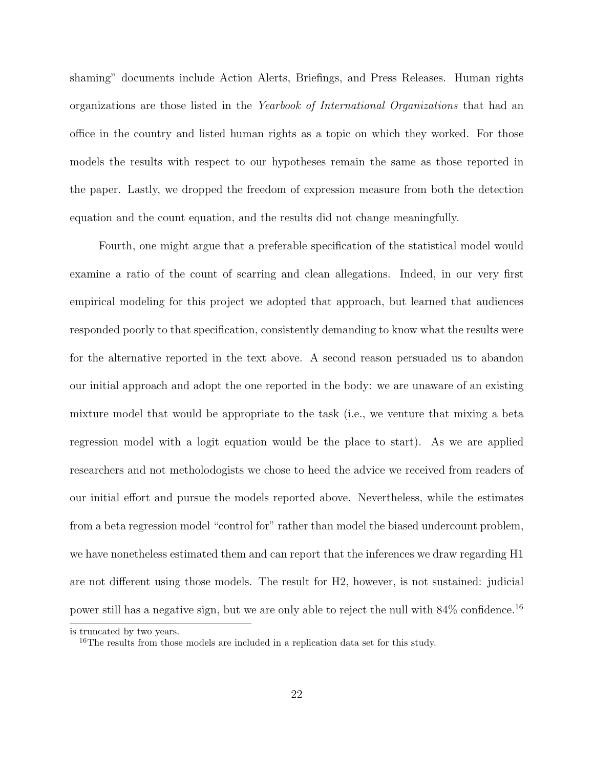shaming" documents include Action Alerts, Briefings, and Press Releases. Human rights organizations are those listed in the Yearbook of International Organizations that had an office in the country and listed human rights as a topic on which they worked. For those models the results with respect to our hypotheses remain the same as those reported in the paper. Lastly, we dropped the freedom of expression measure from both the detection equation and the count equation, and the results did not change meaningfully.

Fourth, one might argue that a preferable specification of the statistical model would examine a ratio of the count of scarring and clean allegations. Indeed, in our very first empirical modeling for this project we adopted that approach, but learned that audiences responded poorly to that specification, consistently demanding to know what the results were for the alternative reported in the text above. A second reason persuaded us to abandon our initial approach and adopt the one reported in the body: we are unaware of an existing mixture model that would be appropriate to the task (i.e., we venture that mixing a beta regression model with a logit equation would be the place to start). As we are applied researchers and not metholodogists we chose to heed the advice we received from readers of our initial effort and pursue the models reported above. Nevertheless, while the estimates from a beta regression model "control for" rather than model the biased undercount problem, we have nonetheless estimated them and can report that the inferences we draw regarding H1 are not different using those models. The result for H2, however, is not sustained: judicial power still has a negative sign, but we are only able to reject the null with  $84\%$  confidence.<sup>16</sup>

is truncated by two years.

<sup>&</sup>lt;sup>16</sup>The results from those models are included in a replication data set for this study.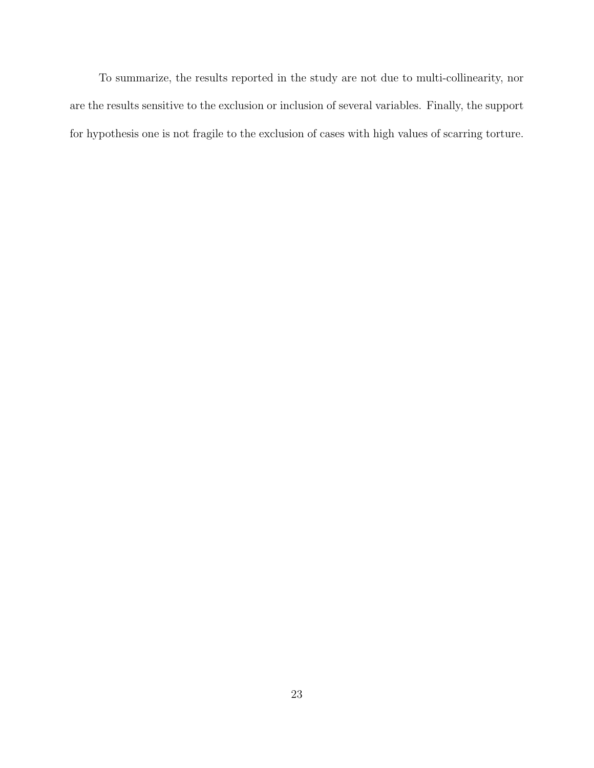To summarize, the results reported in the study are not due to multi-collinearity, nor are the results sensitive to the exclusion or inclusion of several variables. Finally, the support for hypothesis one is not fragile to the exclusion of cases with high values of scarring torture.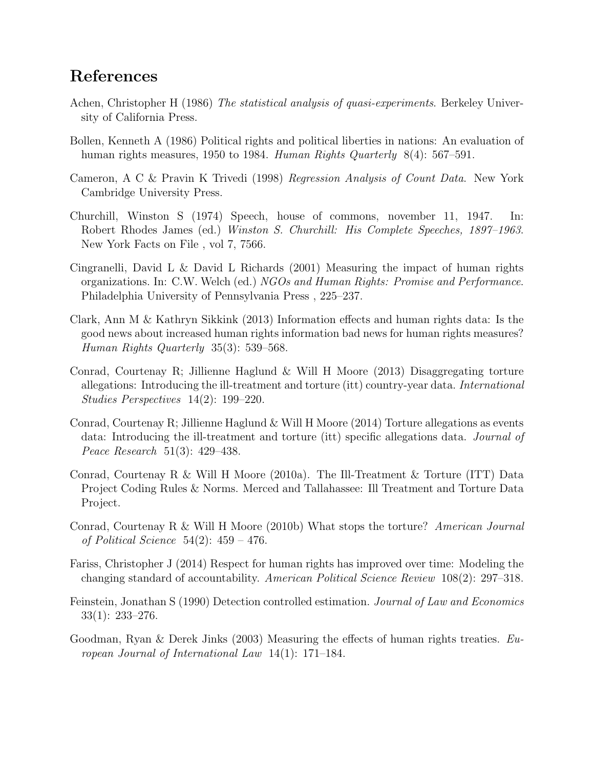## References

- Achen, Christopher H (1986) The *statistical analysis of quasi-experiments*. Berkeley University of California Press.
- Bollen, Kenneth A (1986) Political rights and political liberties in nations: An evaluation of human rights measures, 1950 to 1984. Human Rights Quarterly  $8(4)$ : 567–591.
- Cameron, A C & Pravin K Trivedi (1998) Regression Analysis of Count Data. New York Cambridge University Press.
- Churchill, Winston S (1974) Speech, house of commons, november 11, 1947. In: Robert Rhodes James (ed.) Winston S. Churchill: His Complete Speeches, 1897–1963. New York Facts on File , vol 7, 7566.
- Cingranelli, David L & David L Richards (2001) Measuring the impact of human rights organizations. In: C.W. Welch (ed.) NGOs and Human Rights: Promise and Performance. Philadelphia University of Pennsylvania Press , 225–237.
- Clark, Ann M & Kathryn Sikkink (2013) Information effects and human rights data: Is the good news about increased human rights information bad news for human rights measures? Human Rights Quarterly 35(3): 539–568.
- Conrad, Courtenay R; Jillienne Haglund & Will H Moore (2013) Disaggregating torture allegations: Introducing the ill-treatment and torture (itt) country-year data. International Studies Perspectives 14(2): 199–220.
- Conrad, Courtenay R; Jillienne Haglund  $&$  Will H Moore (2014) Torture allegations as events data: Introducing the ill-treatment and torture (itt) specific allegations data. Journal of Peace Research 51(3): 429–438.
- Conrad, Courtenay R & Will H Moore (2010a). The Ill-Treatment & Torture (ITT) Data Project Coding Rules & Norms. Merced and Tallahassee: Ill Treatment and Torture Data Project.
- Conrad, Courtenay R & Will H Moore (2010b) What stops the torture? American Journal of Political Science  $54(2)$ :  $459 - 476$ .
- Fariss, Christopher J (2014) Respect for human rights has improved over time: Modeling the changing standard of accountability. American Political Science Review 108(2): 297–318.
- Feinstein, Jonathan S (1990) Detection controlled estimation. Journal of Law and Economics 33(1): 233–276.
- Goodman, Ryan & Derek Jinks (2003) Measuring the effects of human rights treaties. European Journal of International Law 14(1): 171–184.